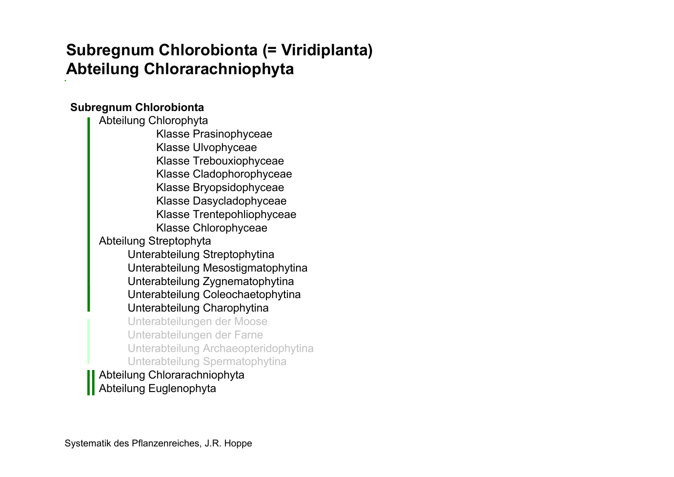# **Subregnum Chlorobionta (= Viridiplanta) Abteilung Chlorarachniophyta**

#### **Subregnum Chlorobionta**

Abteilung Chlorophyta Klasse Prasinophyceae Klasse Ulvophyceae Klasse Trebouxiophyceae Klasse Cladophorophyceae Klasse Bryopsidophyceae Klasse Dasycladophyceae Klasse Trentepohliophyceae Klasse Chlorophyceae Abteilung Streptophyta Unterabteilung Streptophytina Unterabteilung Mesostigmatophytina Unterabteilung Zygnematophytina Unterabteilung Coleochaetophytina Unterabteilung Charophytina Unterabteilungen der Moose Unterabteilungen der Farne Unterabteilung Archaeopteridophytina Unterabteilung Spermatophytina Abteilung Chlorarachniophyta Abteilung Euglenophyta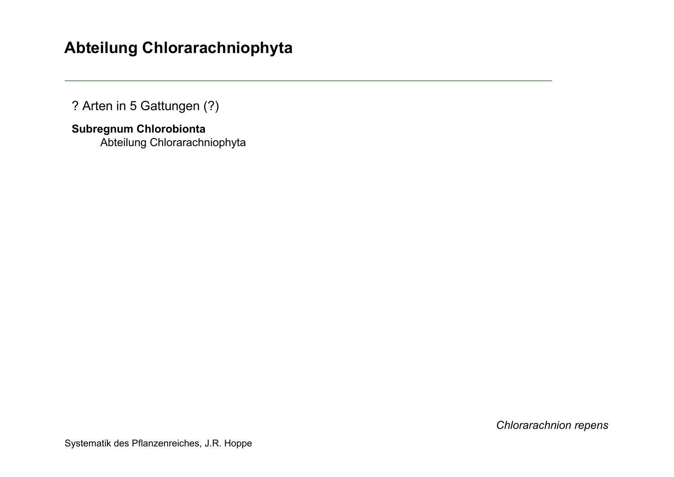## **Abteilung Chlorarachniophyta**

? Arten in 5 Gattungen (?)

**Subregnum Chlorobionta**  Abteilung Chlorarachniophyta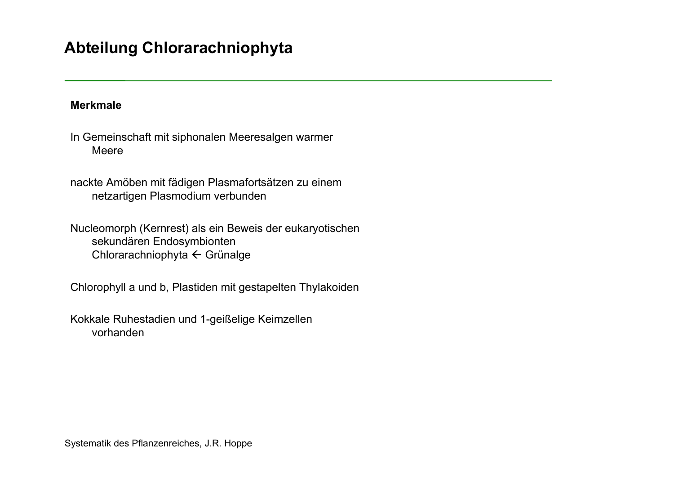### **Abteilung Chlorarachniophyta**

#### **Merkmale**

In Gemeinschaft mit siphonalen Meeresalgen warmer Meere

nackte Amöben mit fädigen Plasmafortsätzen zu einem netzartigen Plasmodium verbunden

Nucleomorph (Kernrest) als ein Beweis der eukaryotischen sekundären Endosymbionten Chlorarachniophyta  $\leftarrow$  Grünalge

Chlorophyll a und b, Plastiden mit gestapelten Thylakoiden

Kokkale Ruhestadien und 1-geißelige Keimzellen vorhanden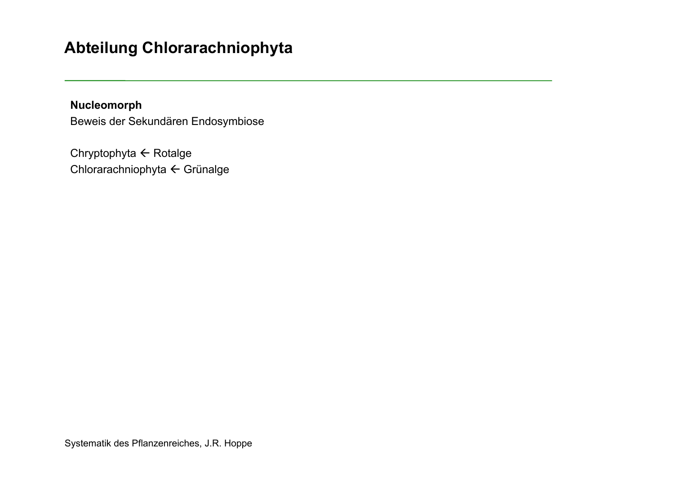## **Abteilung Chlorarachniophyta**

**Nucleomorph** Beweis der Sekundären Endosymbiose

Chryptophyta  $\leftarrow$  Rotalge Chlorarachniophyta ← Grünalge